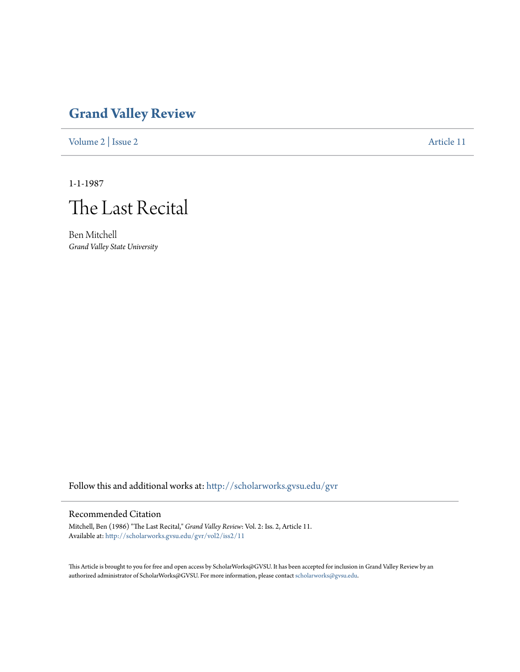## **[Grand Valley Review](http://scholarworks.gvsu.edu/gvr?utm_source=scholarworks.gvsu.edu%2Fgvr%2Fvol2%2Fiss2%2F11&utm_medium=PDF&utm_campaign=PDFCoverPages)**

[Volume 2](http://scholarworks.gvsu.edu/gvr/vol2?utm_source=scholarworks.gvsu.edu%2Fgvr%2Fvol2%2Fiss2%2F11&utm_medium=PDF&utm_campaign=PDFCoverPages) | [Issue 2](http://scholarworks.gvsu.edu/gvr/vol2/iss2?utm_source=scholarworks.gvsu.edu%2Fgvr%2Fvol2%2Fiss2%2F11&utm_medium=PDF&utm_campaign=PDFCoverPages) [Article 11](http://scholarworks.gvsu.edu/gvr/vol2/iss2/11?utm_source=scholarworks.gvsu.edu%2Fgvr%2Fvol2%2Fiss2%2F11&utm_medium=PDF&utm_campaign=PDFCoverPages)

1-1-1987



Ben Mitchell *Grand Valley State University*

Follow this and additional works at: [http://scholarworks.gvsu.edu/gvr](http://scholarworks.gvsu.edu/gvr?utm_source=scholarworks.gvsu.edu%2Fgvr%2Fvol2%2Fiss2%2F11&utm_medium=PDF&utm_campaign=PDFCoverPages)

## Recommended Citation

Mitchell, Ben (1986) "The Last Recital," *Grand Valley Review*: Vol. 2: Iss. 2, Article 11. Available at: [http://scholarworks.gvsu.edu/gvr/vol2/iss2/11](http://scholarworks.gvsu.edu/gvr/vol2/iss2/11?utm_source=scholarworks.gvsu.edu%2Fgvr%2Fvol2%2Fiss2%2F11&utm_medium=PDF&utm_campaign=PDFCoverPages)

This Article is brought to you for free and open access by ScholarWorks@GVSU. It has been accepted for inclusion in Grand Valley Review by an authorized administrator of ScholarWorks@GVSU. For more information, please contact [scholarworks@gvsu.edu.](mailto:scholarworks@gvsu.edu)